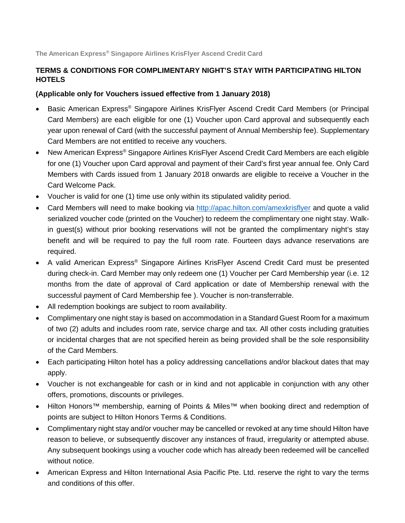**The American Express® Singapore Airlines KrisFlyer Ascend Credit Card**

## **TERMS & CONDITIONS FOR COMPLIMENTARY NIGHT'S STAY WITH PARTICIPATING HILTON HOTELS**

## **(Applicable only for Vouchers issued effective from 1 January 2018)**

- Basic American Express® Singapore Airlines KrisFlyer Ascend Credit Card Members (or Principal Card Members) are each eligible for one (1) Voucher upon Card approval and subsequently each year upon renewal of Card (with the successful payment of Annual Membership fee). Supplementary Card Members are not entitled to receive any vouchers.
- New American Express<sup>®</sup> Singapore Airlines KrisFlyer Ascend Credit Card Members are each eligible for one (1) Voucher upon Card approval and payment of their Card's first year annual fee. Only Card Members with Cards issued from 1 January 2018 onwards are eligible to receive a Voucher in the Card Welcome Pack.
- Voucher is valid for one (1) time use only within its stipulated validity period.
- Card Members will need to make booking via<http://apac.hilton.com/amexkrisflyer> and quote a valid serialized voucher code (printed on the Voucher) to redeem the complimentary one night stay. Walkin guest(s) without prior booking reservations will not be granted the complimentary night's stay benefit and will be required to pay the full room rate. Fourteen days advance reservations are required.
- A valid American Express® Singapore Airlines KrisFlyer Ascend Credit Card must be presented during check-in. Card Member may only redeem one (1) Voucher per Card Membership year (i.e. 12 months from the date of approval of Card application or date of Membership renewal with the successful payment of Card Membership fee ). Voucher is non-transferrable.
- All redemption bookings are subject to room availability.
- Complimentary one night stay is based on accommodation in a Standard Guest Room for a maximum of two (2) adults and includes room rate, service charge and tax. All other costs including gratuities or incidental charges that are not specified herein as being provided shall be the sole responsibility of the Card Members.
- Each participating Hilton hotel has a policy addressing cancellations and/or blackout dates that may apply.
- Voucher is not exchangeable for cash or in kind and not applicable in conjunction with any other offers, promotions, discounts or privileges.
- Hilton Honors™ membership, earning of Points & Miles™ when booking direct and redemption of points are subject to Hilton Honors Terms & Conditions.
- Complimentary night stay and/or voucher may be cancelled or revoked at any time should Hilton have reason to believe, or subsequently discover any instances of fraud, irregularity or attempted abuse. Any subsequent bookings using a voucher code which has already been redeemed will be cancelled without notice.
- American Express and Hilton International Asia Pacific Pte. Ltd. reserve the right to vary the terms and conditions of this offer.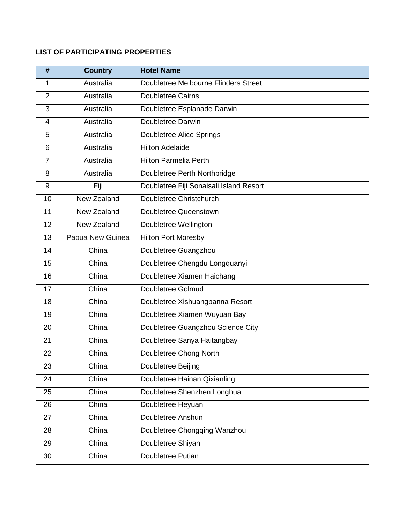## **LIST OF PARTICIPATING PROPERTIES**

| #              | <b>Country</b>   | <b>Hotel Name</b>                       |
|----------------|------------------|-----------------------------------------|
| 1              | Australia        | Doubletree Melbourne Flinders Street    |
| $\overline{2}$ | Australia        | <b>Doubletree Cairns</b>                |
| 3              | Australia        | Doubletree Esplanade Darwin             |
| $\overline{4}$ | Australia        | Doubletree Darwin                       |
| 5              | Australia        | Doubletree Alice Springs                |
| 6              | Australia        | <b>Hilton Adelaide</b>                  |
| $\overline{7}$ | Australia        | <b>Hilton Parmelia Perth</b>            |
| 8              | Australia        | Doubletree Perth Northbridge            |
| 9              | Fiji             | Doubletree Fiji Sonaisali Island Resort |
| 10             | New Zealand      | Doubletree Christchurch                 |
| 11             | New Zealand      | Doubletree Queenstown                   |
| 12             | New Zealand      | Doubletree Wellington                   |
| 13             | Papua New Guinea | <b>Hilton Port Moresby</b>              |
| 14             | China            | Doubletree Guangzhou                    |
| 15             | China            | Doubletree Chengdu Longquanyi           |
| 16             | China            | Doubletree Xiamen Haichang              |
| 17             | China            | Doubletree Golmud                       |
| 18             | China            | Doubletree Xishuangbanna Resort         |
| 19             | China            | Doubletree Xiamen Wuyuan Bay            |
| 20             | China            | Doubletree Guangzhou Science City       |
| 21             | China            | Doubletree Sanya Haitangbay             |
| 22             | China            | Doubletree Chong North                  |
| 23             | China            | Doubletree Beijing                      |
| 24             | China            | Doubletree Hainan Qixianling            |
| 25             | China            | Doubletree Shenzhen Longhua             |
| 26             | China            | Doubletree Heyuan                       |
| 27             | China            | Doubletree Anshun                       |
| 28             | China            | Doubletree Chongqing Wanzhou            |
| 29             | China            | Doubletree Shiyan                       |
| 30             | China            | Doubletree Putian                       |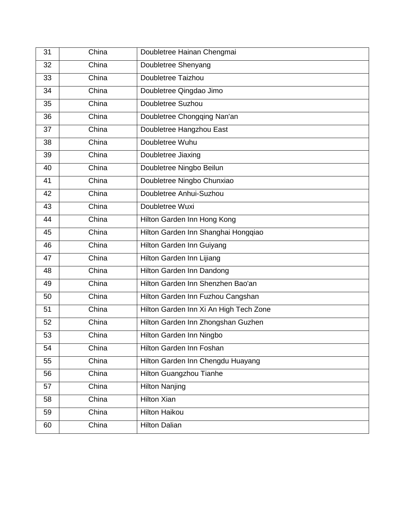| 31 | China | Doubletree Hainan Chengmai             |
|----|-------|----------------------------------------|
| 32 | China | Doubletree Shenyang                    |
| 33 | China | Doubletree Taizhou                     |
| 34 | China | Doubletree Qingdao Jimo                |
| 35 | China | Doubletree Suzhou                      |
| 36 | China | Doubletree Chongqing Nan'an            |
| 37 | China | Doubletree Hangzhou East               |
| 38 | China | Doubletree Wuhu                        |
| 39 | China | Doubletree Jiaxing                     |
| 40 | China | Doubletree Ningbo Beilun               |
| 41 | China | Doubletree Ningbo Chunxiao             |
| 42 | China | Doubletree Anhui-Suzhou                |
| 43 | China | Doubletree Wuxi                        |
| 44 | China | Hilton Garden Inn Hong Kong            |
| 45 | China | Hilton Garden Inn Shanghai Hongqiao    |
| 46 | China | Hilton Garden Inn Guiyang              |
| 47 | China | Hilton Garden Inn Lijiang              |
| 48 | China | Hilton Garden Inn Dandong              |
| 49 | China | Hilton Garden Inn Shenzhen Bao'an      |
| 50 | China | Hilton Garden Inn Fuzhou Cangshan      |
| 51 | China | Hilton Garden Inn Xi An High Tech Zone |
| 52 | China | Hilton Garden Inn Zhongshan Guzhen     |
| 53 | China | Hilton Garden Inn Ningbo               |
| 54 | China | Hilton Garden Inn Foshan               |
| 55 | China | Hilton Garden Inn Chengdu Huayang      |
| 56 | China | Hilton Guangzhou Tianhe                |
| 57 | China | <b>Hilton Nanjing</b>                  |
| 58 | China | <b>Hilton Xian</b>                     |
| 59 | China | <b>Hilton Haikou</b>                   |
| 60 | China | <b>Hilton Dalian</b>                   |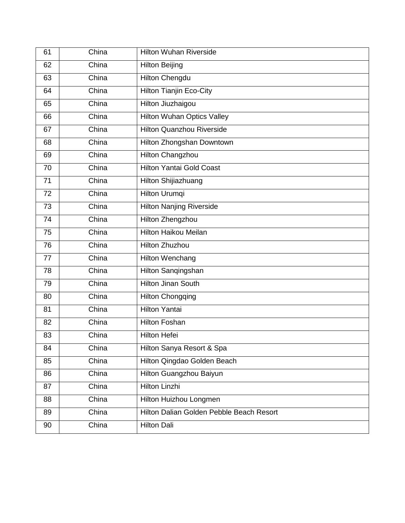| 61 | China | <b>Hilton Wuhan Riverside</b>            |
|----|-------|------------------------------------------|
| 62 | China | <b>Hilton Beijing</b>                    |
| 63 | China | <b>Hilton Chengdu</b>                    |
| 64 | China | <b>Hilton Tianjin Eco-City</b>           |
| 65 | China | Hilton Jiuzhaigou                        |
| 66 | China | <b>Hilton Wuhan Optics Valley</b>        |
| 67 | China | <b>Hilton Quanzhou Riverside</b>         |
| 68 | China | Hilton Zhongshan Downtown                |
| 69 | China | Hilton Changzhou                         |
| 70 | China | <b>Hilton Yantai Gold Coast</b>          |
| 71 | China | <b>Hilton Shijiazhuang</b>               |
| 72 | China | Hilton Urumqi                            |
| 73 | China | <b>Hilton Nanjing Riverside</b>          |
| 74 | China | <b>Hilton Zhengzhou</b>                  |
| 75 | China | <b>Hilton Haikou Meilan</b>              |
| 76 | China | <b>Hilton Zhuzhou</b>                    |
| 77 | China | <b>Hilton Wenchang</b>                   |
| 78 | China | Hilton Sanqingshan                       |
| 79 | China | <b>Hilton Jinan South</b>                |
| 80 | China | <b>Hilton Chongqing</b>                  |
| 81 | China | <b>Hilton Yantai</b>                     |
| 82 | China | <b>Hilton Foshan</b>                     |
| 83 | China | <b>Hilton Hefei</b>                      |
| 84 | China | Hilton Sanya Resort & Spa                |
| 85 | China | Hilton Qingdao Golden Beach              |
| 86 | China | Hilton Guangzhou Baiyun                  |
| 87 | China | <b>Hilton Linzhi</b>                     |
| 88 | China | Hilton Huizhou Longmen                   |
| 89 | China | Hilton Dalian Golden Pebble Beach Resort |
| 90 | China | <b>Hilton Dali</b>                       |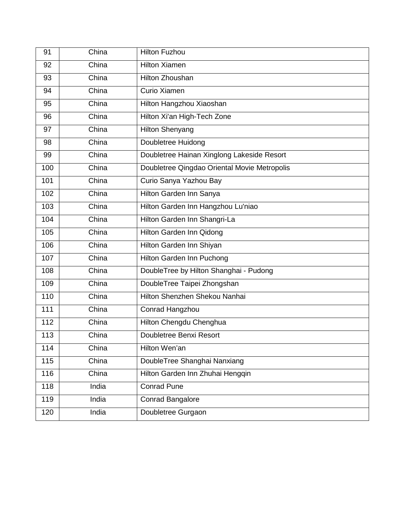| 91  | China | <b>Hilton Fuzhou</b>                         |
|-----|-------|----------------------------------------------|
| 92  | China | <b>Hilton Xiamen</b>                         |
| 93  | China | Hilton Zhoushan                              |
| 94  | China | Curio Xiamen                                 |
| 95  | China | Hilton Hangzhou Xiaoshan                     |
| 96  | China | Hilton Xi'an High-Tech Zone                  |
| 97  | China | <b>Hilton Shenyang</b>                       |
| 98  | China | Doubletree Huidong                           |
| 99  | China | Doubletree Hainan Xinglong Lakeside Resort   |
| 100 | China | Doubletree Qingdao Oriental Movie Metropolis |
| 101 | China | Curio Sanya Yazhou Bay                       |
| 102 | China | Hilton Garden Inn Sanya                      |
| 103 | China | Hilton Garden Inn Hangzhou Lu'niao           |
| 104 | China | Hilton Garden Inn Shangri-La                 |
| 105 | China | Hilton Garden Inn Qidong                     |
| 106 | China | Hilton Garden Inn Shiyan                     |
| 107 | China | Hilton Garden Inn Puchong                    |
| 108 | China | DoubleTree by Hilton Shanghai - Pudong       |
| 109 | China | DoubleTree Taipei Zhongshan                  |
| 110 | China | Hilton Shenzhen Shekou Nanhai                |
| 111 | China | Conrad Hangzhou                              |
| 112 | China | Hilton Chengdu Chenghua                      |
| 113 | China | Doubletree Benxi Resort                      |
| 114 | China | Hilton Wen'an                                |
| 115 | China | DoubleTree Shanghai Nanxiang                 |
| 116 | China | Hilton Garden Inn Zhuhai Hengqin             |
| 118 | India | <b>Conrad Pune</b>                           |
| 119 | India | <b>Conrad Bangalore</b>                      |
| 120 | India | Doubletree Gurgaon                           |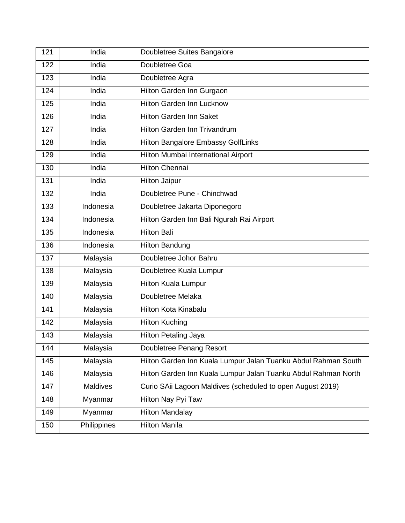| 121 | India       | Doubletree Suites Bangalore                                    |
|-----|-------------|----------------------------------------------------------------|
| 122 | India       | Doubletree Goa                                                 |
| 123 | India       | Doubletree Agra                                                |
| 124 | India       | Hilton Garden Inn Gurgaon                                      |
| 125 | India       | <b>Hilton Garden Inn Lucknow</b>                               |
| 126 | India       | <b>Hilton Garden Inn Saket</b>                                 |
| 127 | India       | Hilton Garden Inn Trivandrum                                   |
| 128 | India       | <b>Hilton Bangalore Embassy GolfLinks</b>                      |
| 129 | India       | Hilton Mumbai International Airport                            |
| 130 | India       | <b>Hilton Chennai</b>                                          |
| 131 | India       | <b>Hilton Jaipur</b>                                           |
| 132 | India       | Doubletree Pune - Chinchwad                                    |
| 133 | Indonesia   | Doubletree Jakarta Diponegoro                                  |
| 134 | Indonesia   | Hilton Garden Inn Bali Ngurah Rai Airport                      |
| 135 | Indonesia   | <b>Hilton Bali</b>                                             |
| 136 | Indonesia   | <b>Hilton Bandung</b>                                          |
| 137 | Malaysia    | Doubletree Johor Bahru                                         |
| 138 | Malaysia    | Doubletree Kuala Lumpur                                        |
| 139 | Malaysia    | <b>Hilton Kuala Lumpur</b>                                     |
| 140 | Malaysia    | Doubletree Melaka                                              |
| 141 | Malaysia    | Hilton Kota Kinabalu                                           |
| 142 | Malaysia    | <b>Hilton Kuching</b>                                          |
| 143 | Malaysia    | Hilton Petaling Jaya                                           |
| 144 | Malaysia    | Doubletree Penang Resort                                       |
| 145 | Malaysia    | Hilton Garden Inn Kuala Lumpur Jalan Tuanku Abdul Rahman South |
| 146 | Malaysia    | Hilton Garden Inn Kuala Lumpur Jalan Tuanku Abdul Rahman North |
| 147 | Maldives    | Curio SAii Lagoon Maldives (scheduled to open August 2019)     |
| 148 | Myanmar     | Hilton Nay Pyi Taw                                             |
| 149 | Myanmar     | <b>Hilton Mandalay</b>                                         |
| 150 | Philippines | <b>Hilton Manila</b>                                           |